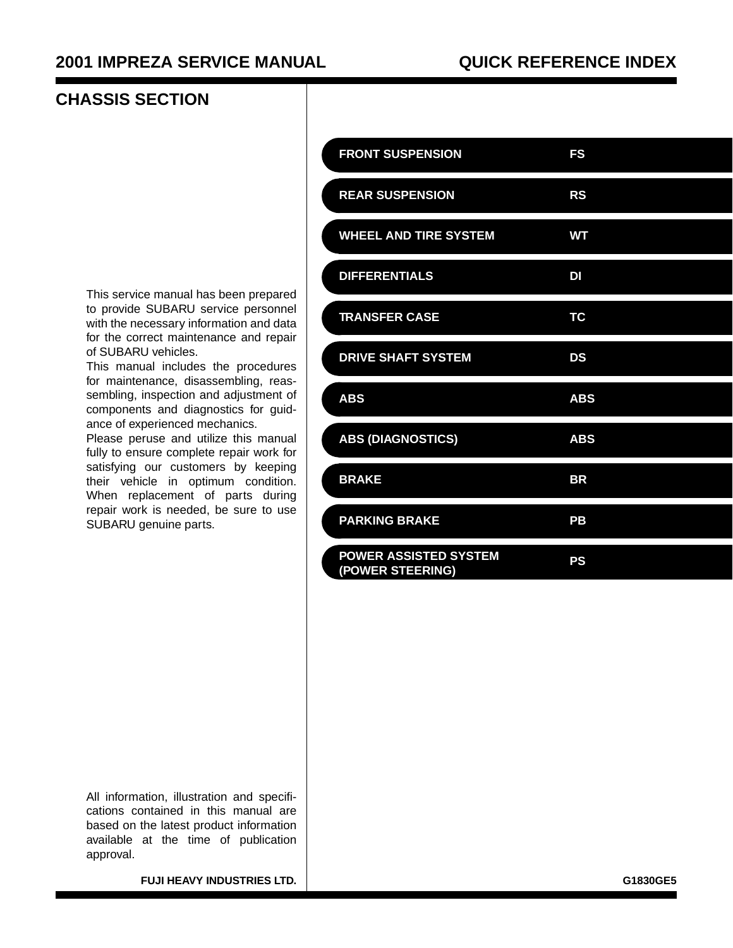# **CHASSIS SECTION**

| <b>FRONT SUSPENSION</b>                          | FS         |
|--------------------------------------------------|------------|
| <b>REAR SUSPENSION</b>                           | <b>RS</b>  |
| <b>WHEEL AND TIRE SYSTEM</b>                     | <b>WT</b>  |
| <b>DIFFERENTIALS</b>                             | DI         |
| <b>TRANSFER CASE</b>                             | <b>TC</b>  |
| <b>DRIVE SHAFT SYSTEM</b>                        | DS         |
| <b>ABS</b>                                       | <b>ABS</b> |
| <b>ABS (DIAGNOSTICS)</b>                         | <b>ABS</b> |
| <b>BRAKE</b>                                     | <b>BR</b>  |
| <b>PARKING BRAKE</b>                             | PB         |
| <b>POWER ASSISTED SYSTEM</b><br>(POWER STEERING) | PS         |

This service manual has been prepared to provide SUBARU service personnel with the necessary information and data for the correct maintenance and repair of SUBARU vehicles.

This manual includes the procedures for maintenance, disassembling, reassembling, inspection and adjustment of components and diagnostics for guidance of experienced mechanics.

Please peruse and utilize this manual fully to ensure complete repair work for satisfying our customers by keeping their vehicle in optimum condition. When replacement of parts during repair work is needed, be sure to use SUBARU genuine parts.

All information, illustration and specifications contained in this manual are based on the latest product information available at the time of publication approval.

**FUJI HEAVY INDUSTRIES LTD.** G1830GE5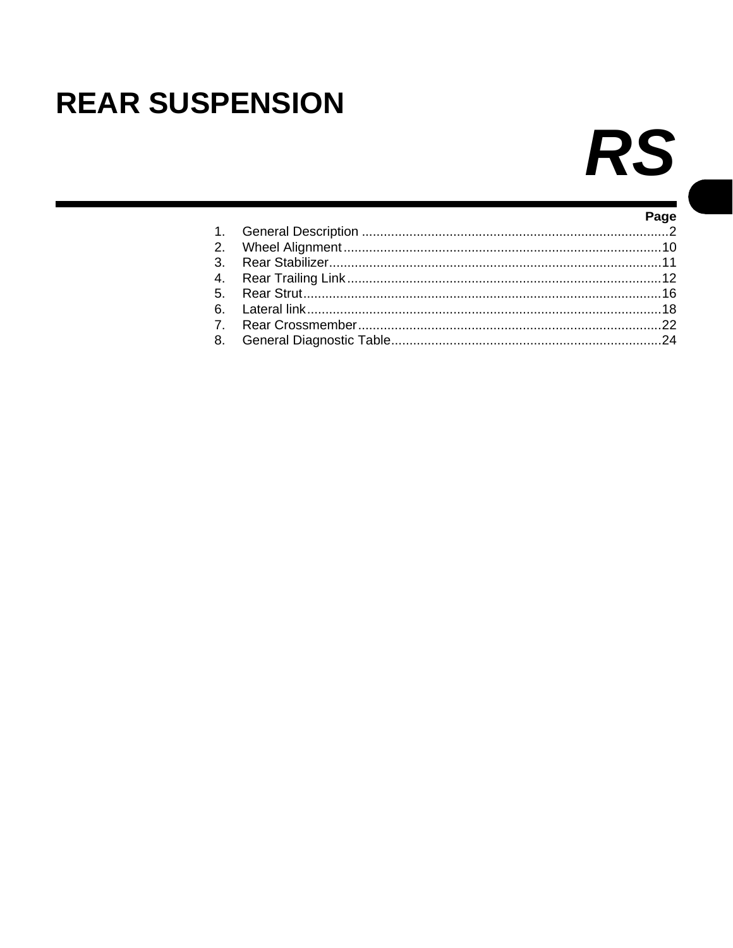# <span id="page-1-0"></span>**REAR SUSPENSION**

# RS

|  | Page |
|--|------|
|  |      |
|  |      |
|  |      |
|  |      |
|  |      |
|  |      |
|  |      |
|  |      |
|  |      |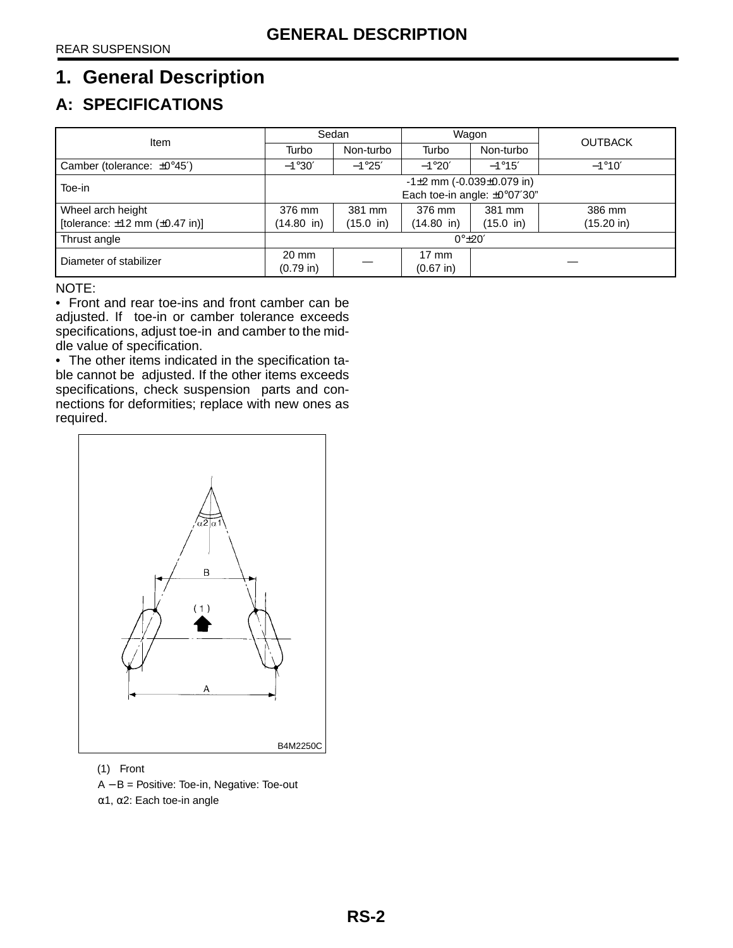# <span id="page-2-0"></span>**1. General Description**

# **A: SPECIFICATIONS**

| Item                                      | Sedan                                |                                           | Wagon           |                       | <b>OUTBACK</b>       |
|-------------------------------------------|--------------------------------------|-------------------------------------------|-----------------|-----------------------|----------------------|
|                                           | Turbo                                | Non-turbo                                 | Turbo           | Non-turbo             |                      |
| Camber (tolerance: $\pm 0^{\circ}45'$ )   | $-1°30'$                             | $-1^{\circ}25'$                           | $-1^{\circ}20'$ | $-1^{\circ}15'$       | $-1^{\circ}10'$      |
| Toe-in                                    | $-1\pm 2$ mm ( $-0.039\pm 0.079$ in) |                                           |                 |                       |                      |
|                                           |                                      | Each toe-in angle: $\pm 0^{\circ}07'30''$ |                 |                       |                      |
| Wheel arch height                         | 376 mm                               | 381 mm                                    | 376 mm          | 381 mm                | 386 mm               |
| [tolerance: $\pm 12$ mm ( $\pm 0.47$ in)] | (14.80 in)                           | $(15.0 \; \text{in})$                     | (14.80 in)      | $(15.0 \; \text{in})$ | $(15.20 \text{ in})$ |
| Thrust angle                              | $0^{\circ}$ $\pm$ 20'                |                                           |                 |                       |                      |
| Diameter of stabilizer                    | $20 \text{ mm}$                      |                                           | $17 \text{ mm}$ |                       |                      |
|                                           | $(0.79)$ in)                         |                                           | $(0.67)$ in)    |                       |                      |

NOTE:

• Front and rear toe-ins and front camber can be adjusted. If toe-in or camber tolerance exceeds specifications, adjust toe-in and camber to the middle value of specification.

• The other items indicated in the specification table cannot be adjusted. If the other items exceeds specifications, check suspension parts and connections for deformities; replace with new ones as required.



(1) Front

A − B = Positive: Toe-in, Negative: Toe-out

α1, α2: Each toe-in angle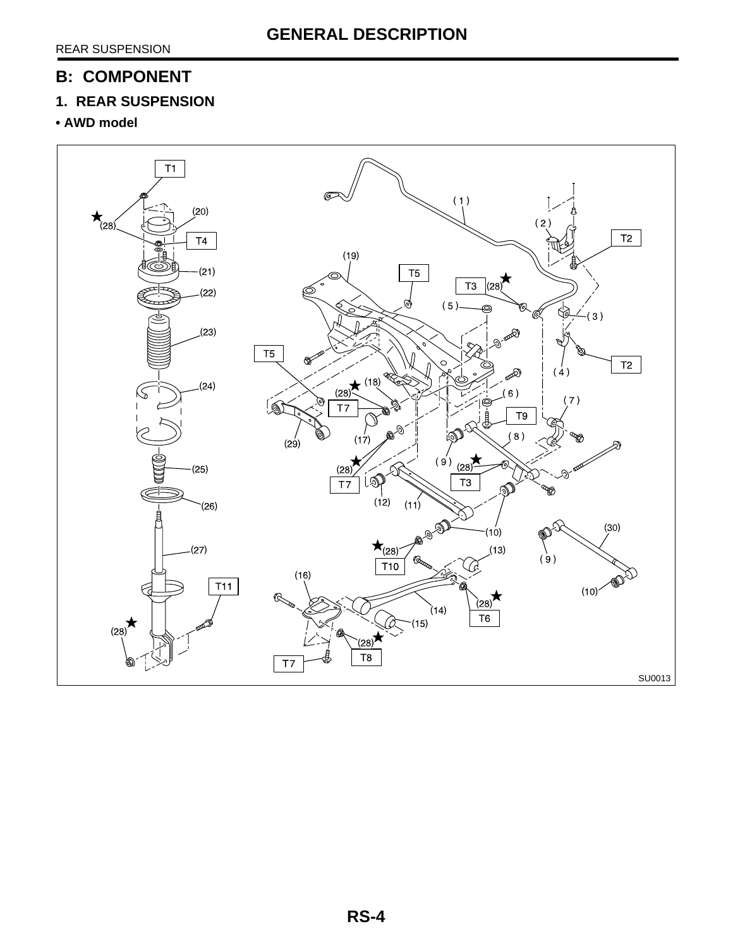# **B: COMPONENT**

# **1. REAR SUSPENSION**

### **• AWD model**

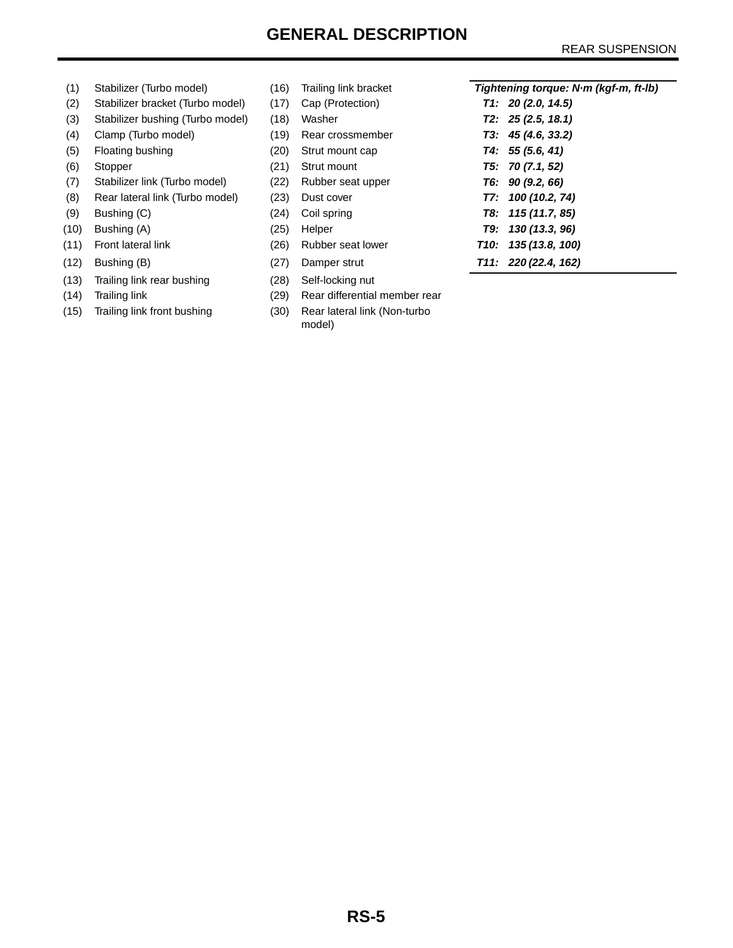# **GENERAL DESCRIPTION**

### REAR SUSPENSION

- 
- (2) Stabilizer bracket (Turbo model) (17) Cap (Protection)
- (3) Stabilizer bushing (Turbo model) (18) Washer
- (4) Clamp (Turbo model) (19) Rear crossmember
- (5) Floating bushing (20) Strut mount cap
- 
- (7) Stabilizer link (Turbo model) (22) Rubber seat upper
- (8) Rear lateral link (Turbo model) (23) Dust cover
- (9) Bushing (C) (24) Coil spring
- (10) Bushing (A) (25) Helper **T9: 130 (13.3, 96)**
- 
- 
- (13) Trailing link rear bushing (28) Self-locking nut
- 
- 
- (6) Stopper (21) Strut mount (11) Front lateral link (26) Rubber seat lower **T10: 135 (13.8, 100)** (12) Bushing (B) (27) Damper strut **T11: 220 (22.4, 162)**
- (14) Trailing link (29) Rear differential member rear
- (15) Trailing link front bushing (30) Rear lateral link (Non-turbo model)

| (1)  | Stabilizer (Turbo model)         | (16) | Trailing link bracket | Tightening torque: N·m (kgf-m, ft-lb) |
|------|----------------------------------|------|-----------------------|---------------------------------------|
| (2)  | Stabilizer bracket (Turbo model) | (17) | Cap (Protection)      | T1: 20(2.0, 14.5)                     |
| (3)  | Stabilizer bushing (Turbo model) | (18) | Washer                | T2: 25(2.5, 18.1)                     |
| (4)  | Clamp (Turbo model)              | (19) | Rear crossmember      | T3: 45(4.6, 33.2)                     |
| (5)  | Floating bushing                 | (20) | Strut mount cap       | T4: 55(5.6, 41)                       |
| (6)  | Stopper                          | (21) | Strut mount           | T5: 70(7.1, 52)                       |
| (7)  | Stabilizer link (Turbo model)    | (22) | Rubber seat upper     | T6: 90(9.2, 66)                       |
| (8)  | Rear lateral link (Turbo model)  | (23) | Dust cover            | T7: 100(10.2, 74)                     |
| (9)  | Bushing (C)                      | (24) | Coil spring           | T8: 115 (11.7, 85)                    |
| (10) | Bushing (A)                      | (25) | Helper                | T9: 130 (13.3, 96)                    |
| (11) | Front lateral link               | (26) | Rubber seat lower     | T <sub>10</sub> : 135 (13.8, 100)     |
| (12) | Bushing (B)                      | (27) | Damper strut          | T11: 220 (22.4, 162)                  |
|      |                                  |      |                       |                                       |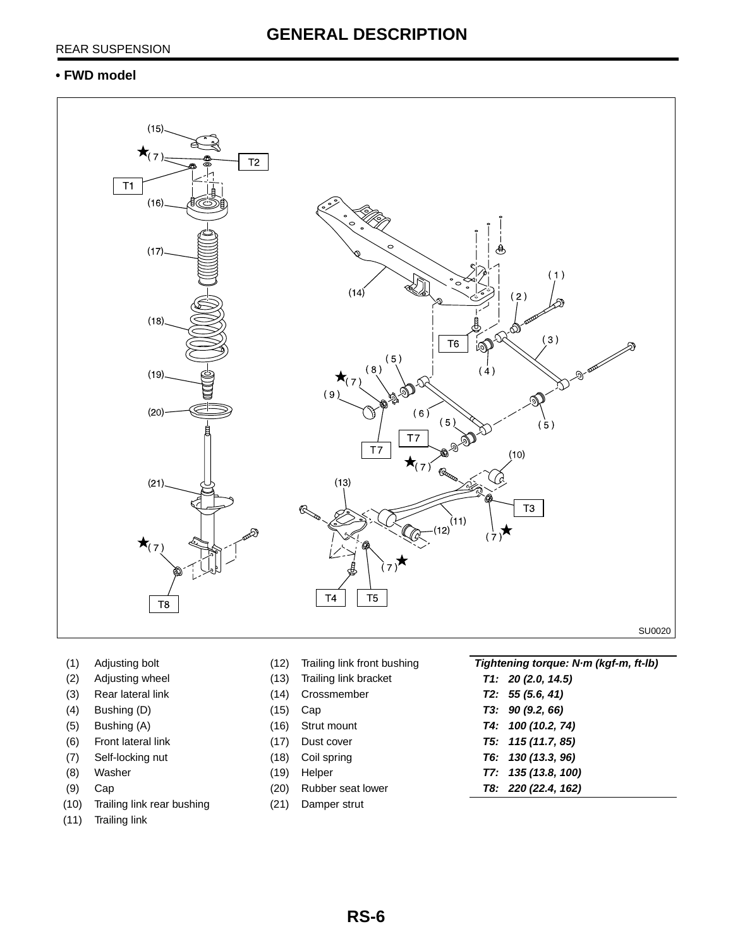### **• FWD model**



- 
- 
- 
- 
- 
- 
- 
- 
- 
- (10) Trailing link rear bushing (21) Damper strut
- (11) Trailing link
- 
- 
- 
- 
- 
- 
- 
- 
- 
- 
- (1) Adjusting bolt (12) Trailing link front bushing **Tightening torque: N·m (kgf-m, ft-lb)** (2) Adjusting wheel (13) Trailing link bracket **T1: 20 (2.0, 14.5)** (3) Rear lateral link (14) Crossmember **T2: 55 (5.6, 41)** (4) Bushing (D) (15) Cap **T3: 90 (9.2, 66)** (5) Bushing (A) (16) Strut mount **T4: 100 (10.2, 74)** (6) Front lateral link (17) Dust cover **T5: 115 (11.7, 85)** (7) Self-locking nut (18) Coil spring **T6: 130 (13.3, 96)** (8) Washer (19) Helper **T7: 135 (13.8, 100)** (9) Cap (20) Rubber seat lower **T8: 220 (22.4, 162)**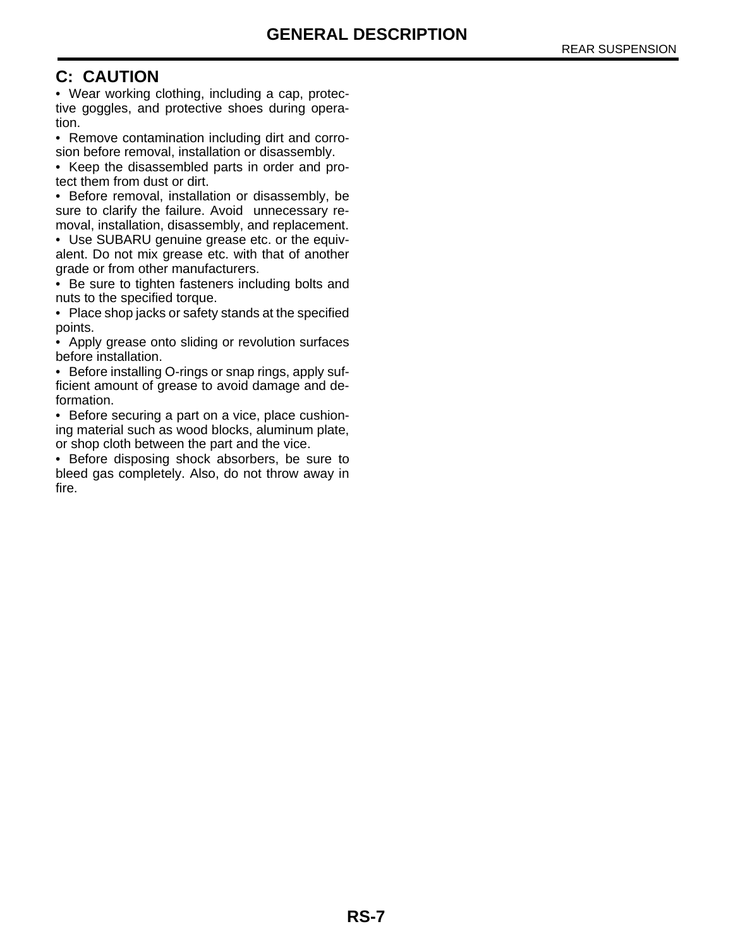# **C: CAUTION**

• Wear working clothing, including a cap, protective goggles, and protective shoes during operation.

• Remove contamination including dirt and corrosion before removal, installation or disassembly.

• Keep the disassembled parts in order and protect them from dust or dirt.

• Before removal, installation or disassembly, be sure to clarify the failure. Avoid unnecessary removal, installation, disassembly, and replacement.

• Use SUBARU genuine grease etc. or the equivalent. Do not mix grease etc. with that of another grade or from other manufacturers.

• Be sure to tighten fasteners including bolts and nuts to the specified torque.

• Place shop jacks or safety stands at the specified points.

• Apply grease onto sliding or revolution surfaces before installation.

• Before installing O-rings or snap rings, apply sufficient amount of grease to avoid damage and deformation.

• Before securing a part on a vice, place cushioning material such as wood blocks, aluminum plate, or shop cloth between the part and the vice.

• Before disposing shock absorbers, be sure to bleed gas completely. Also, do not throw away in fire.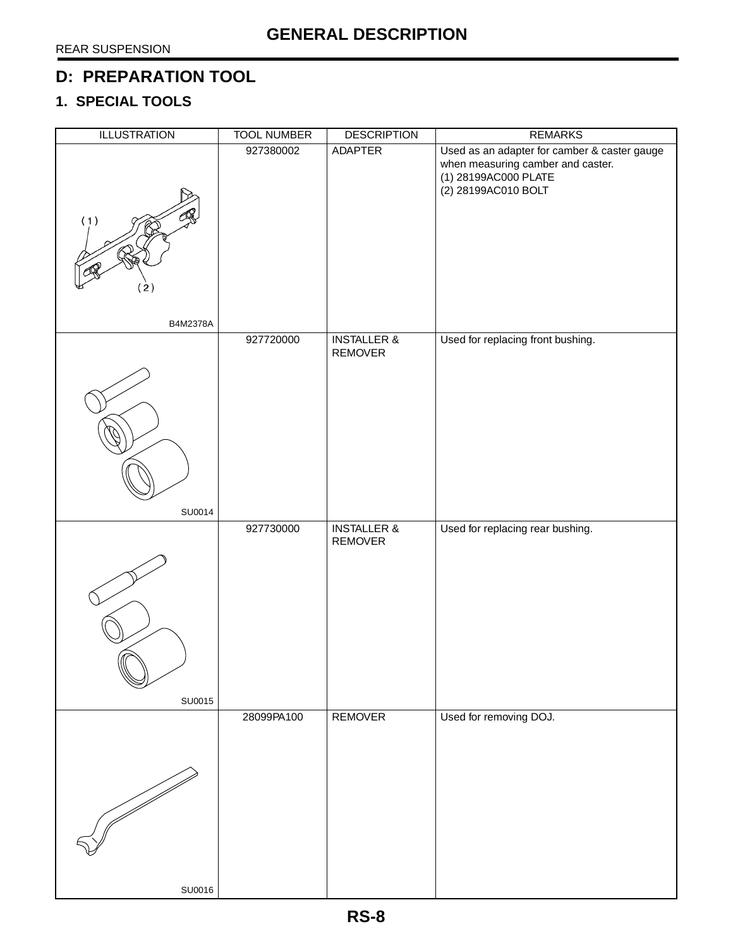# **D: PREPARATION TOOL**

# **1. SPECIAL TOOLS**

| <b>ILLUSTRATION</b> | <b>TOOL NUMBER</b> | <b>DESCRIPTION</b>                | <b>REMARKS</b>                                                                                                                   |
|---------------------|--------------------|-----------------------------------|----------------------------------------------------------------------------------------------------------------------------------|
| (1)<br>(2)          | 927380002          | ADAPTER                           | Used as an adapter for camber & caster gauge<br>when measuring camber and caster.<br>(1) 28199AC000 PLATE<br>(2) 28199AC010 BOLT |
| B4M2378A            |                    |                                   |                                                                                                                                  |
|                     | 927720000          | <b>INSTALLER &amp;</b><br>REMOVER | Used for replacing front bushing.                                                                                                |
| SU0014              |                    |                                   |                                                                                                                                  |
| SU0015              | 927730000          | <b>INSTALLER &amp;</b><br>REMOVER | Used for replacing rear bushing.                                                                                                 |
|                     | 28099PA100         | <b>REMOVER</b>                    | Used for removing DOJ.                                                                                                           |
| SU0016              |                    |                                   |                                                                                                                                  |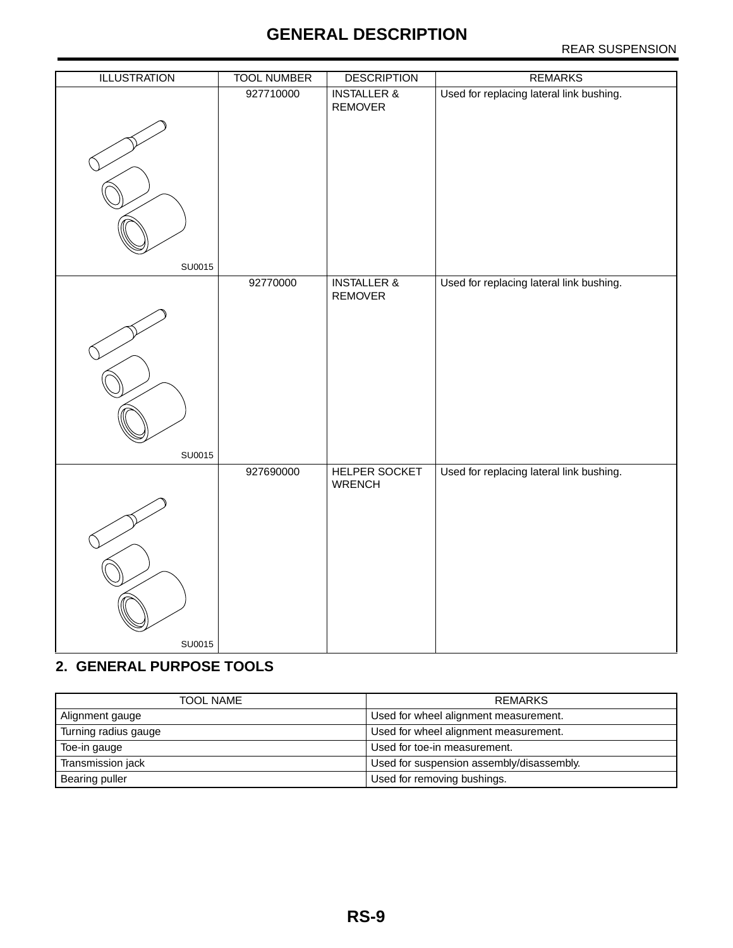# **GENERAL DESCRIPTION**

### REAR SUSPENSION

| <b>ILLUSTRATION</b> | <b>TOOL NUMBER</b> | <b>DESCRIPTION</b>                | <b>REMARKS</b>                           |
|---------------------|--------------------|-----------------------------------|------------------------------------------|
| SU0015              | 927710000          | <b>INSTALLER &amp;</b><br>REMOVER | Used for replacing lateral link bushing. |
|                     | 92770000           | <b>INSTALLER &amp;</b>            | Used for replacing lateral link bushing. |
| SU0015              |                    | REMOVER                           |                                          |
|                     | 927690000          | HELPER SOCKET<br><b>WRENCH</b>    | Used for replacing lateral link bushing. |
| SU0015              |                    |                                   |                                          |

# **2. GENERAL PURPOSE TOOLS**

| <b>TOOL NAME</b>     | REMARKS                                   |
|----------------------|-------------------------------------------|
| Alignment gauge      | Used for wheel alignment measurement.     |
| Turning radius gauge | Used for wheel alignment measurement.     |
| Toe-in gauge         | Used for toe-in measurement.              |
| Transmission jack    | Used for suspension assembly/disassembly. |
| Bearing puller       | Used for removing bushings.               |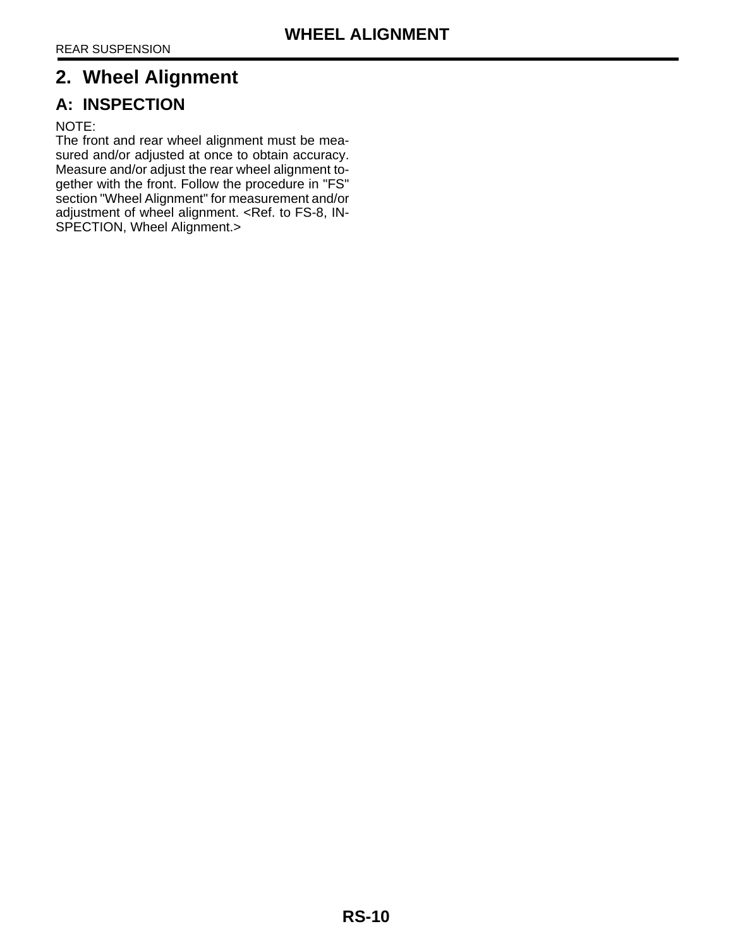# <span id="page-10-0"></span>**2. Wheel Alignment**

# **A: INSPECTION**

### NOTE:

The front and rear wheel alignment must be measured and/or adjusted at once to obtain accuracy. Measure and/or adjust the rear wheel alignment together with the front. Follow the procedure in "FS" section "Wheel Alignment" for measurement and/or adjustment of wheel alignment. <Ref. to FS-8, IN-SPECTION, Wheel Alignment.>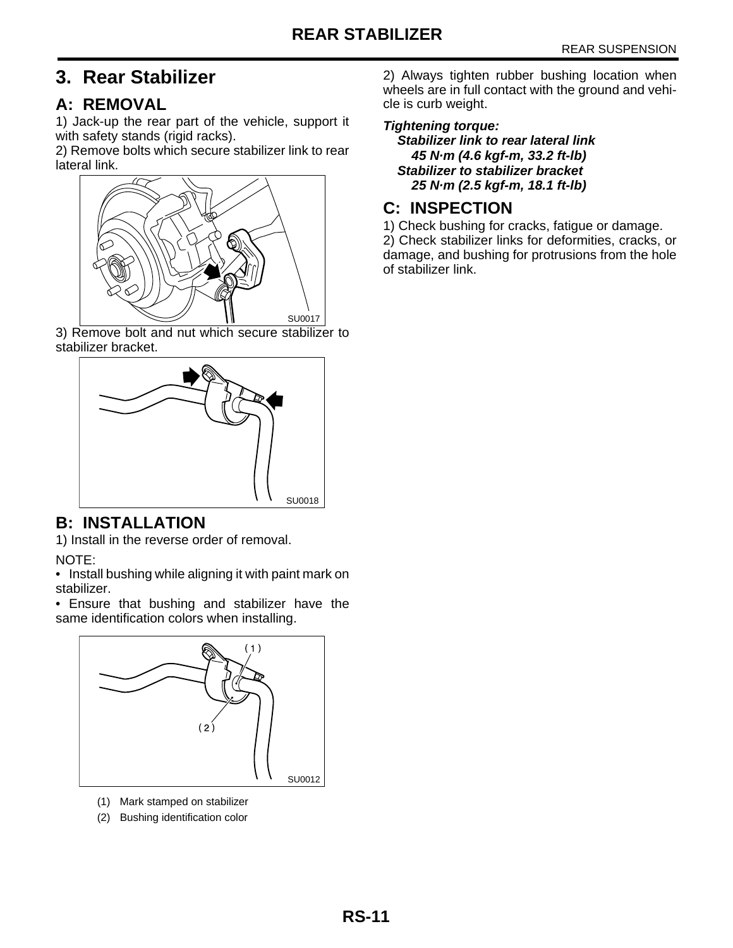# <span id="page-11-0"></span>**3. Rear Stabilizer**

# **A: REMOVAL**

1) Jack-up the rear part of the vehicle, support it with safety stands (rigid racks).

2) Remove bolts which secure stabilizer link to rear lateral link.



3) Remove bolt and nut which secure stabilizer to stabilizer bracket.



# **B: INSTALLATION**

1) Install in the reverse order of removal.

NOTE:

• Install bushing while aligning it with paint mark on stabilizer.

• Ensure that bushing and stabilizer have the same identification colors when installing.



- (1) Mark stamped on stabilizer
- (2) Bushing identification color

2) Always tighten rubber bushing location when wheels are in full contact with the ground and vehicle is curb weight.

### **Tightening torque:**

**Stabilizer link to rear lateral link 45 N·m (4.6 kgf-m, 33.2 ft-lb) Stabilizer to stabilizer bracket 25 N·m (2.5 kgf-m, 18.1 ft-lb)**

# **C: INSPECTION**

1) Check bushing for cracks, fatigue or damage. 2) Check stabilizer links for deformities, cracks, or damage, and bushing for protrusions from the hole of stabilizer link.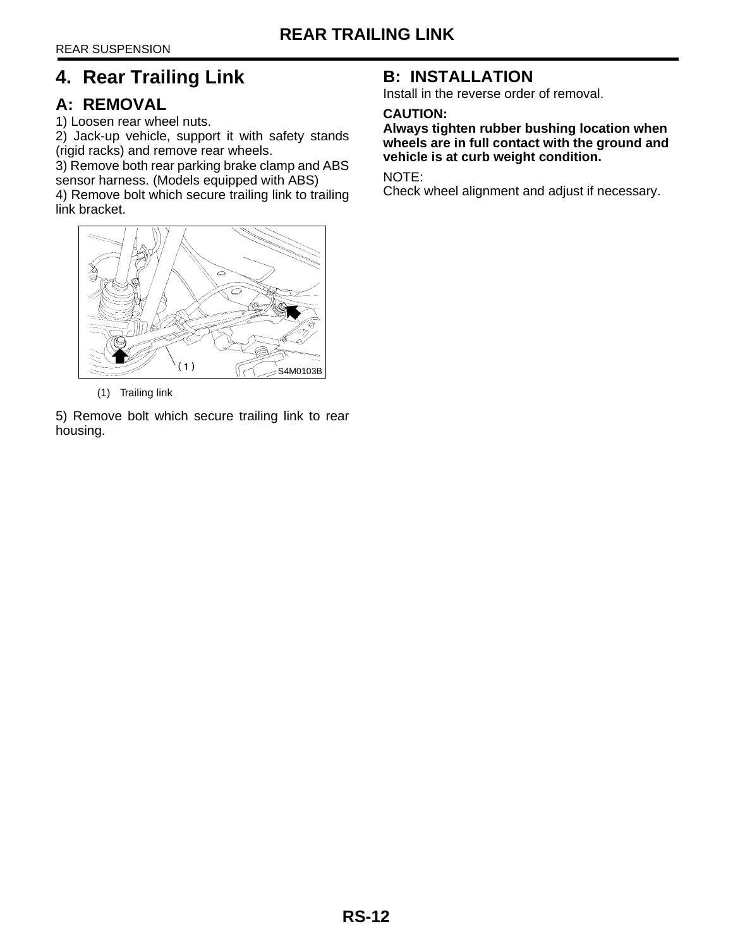# <span id="page-12-0"></span>**4. Rear Trailing Link**

# **A: REMOVAL**

1) Loosen rear wheel nuts.

2) Jack-up vehicle, support it with safety stands (rigid racks) and remove rear wheels.

3) Remove both rear parking brake clamp and ABS sensor harness. (Models equipped with ABS) 4) Remove bolt which secure trailing link to trailing



(1) Trailing link

5) Remove bolt which secure trailing link to rear housing.

# **B: INSTALLATION**

Install in the reverse order of removal.

### **CAUTION:**

**Always tighten rubber bushing location when wheels are in full contact with the ground and vehicle is at curb weight condition.** 

NOTE:

Check wheel alignment and adjust if necessary.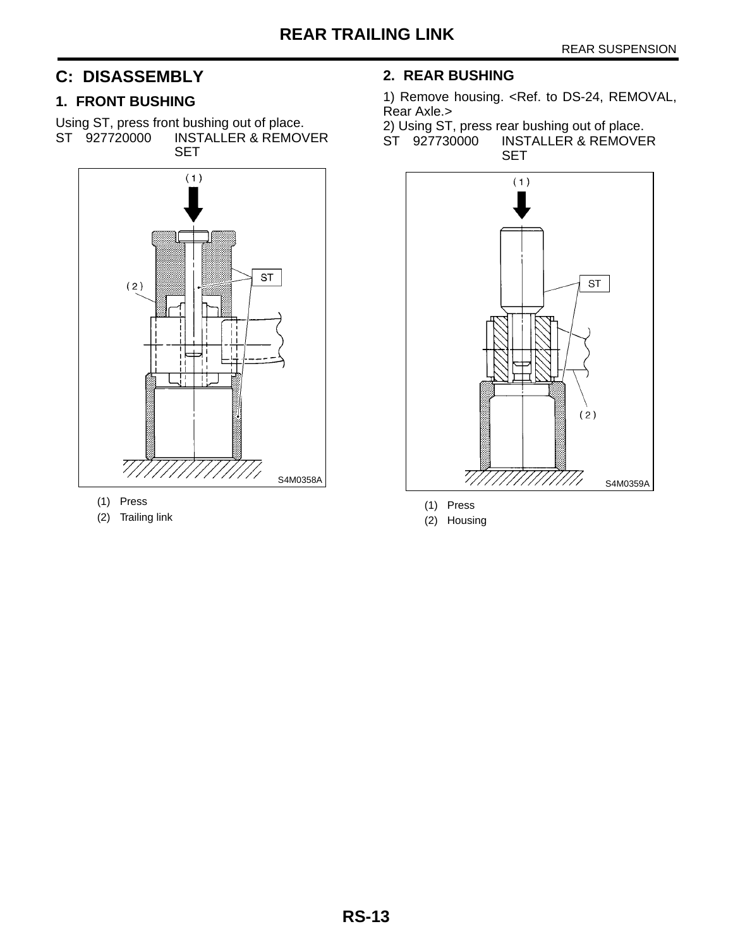# **C: DISASSEMBLY**

### **1. FRONT BUSHING**

Using ST, press front bushing out of place.<br>ST 927720000 INSTALLER & REMOV **INSTALLER & REMOVER SET** 



- (1) Press
- (2) Trailing link

### **2. REAR BUSHING**

1) Remove housing. <Ref. to DS-24, REMOVAL, Rear Axle.>

2) Using ST, press rear bushing out of place. ST 927730000 INSTALLER & REMOVER **SET** 



(1) Press

(2) Housing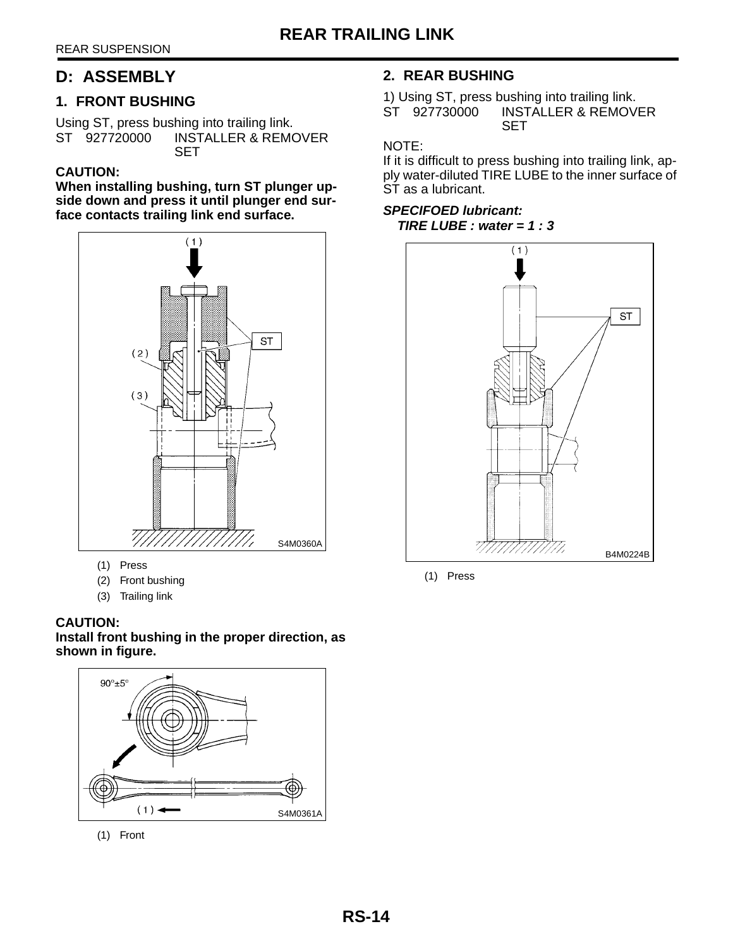# **D: ASSEMBLY**

### **1. FRONT BUSHING**

Using ST, press bushing into trailing link.<br>ST 927720000 INSTALLER & REMO **INSTALLER & REMOVER SET** 

### **CAUTION:**

**When installing bushing, turn ST plunger upside down and press it until plunger end surface contacts trailing link end surface.**



- (1) Press
- (2) Front bushing
- (3) Trailing link

### **CAUTION: Install front bushing in the proper direction, as shown in figure.**



(1) Front

### **2. REAR BUSHING**

1) Using ST, press bushing into trailing link.<br>ST 927730000 INSTALLER & REMOV INSTALLER & REMOVER SET

### NOTE:

If it is difficult to press bushing into trailing link, apply water-diluted TIRE LUBE to the inner surface of ST as a lubricant.

### **SPECIFOED lubricant: TIRE LUBE : water = 1 : 3**



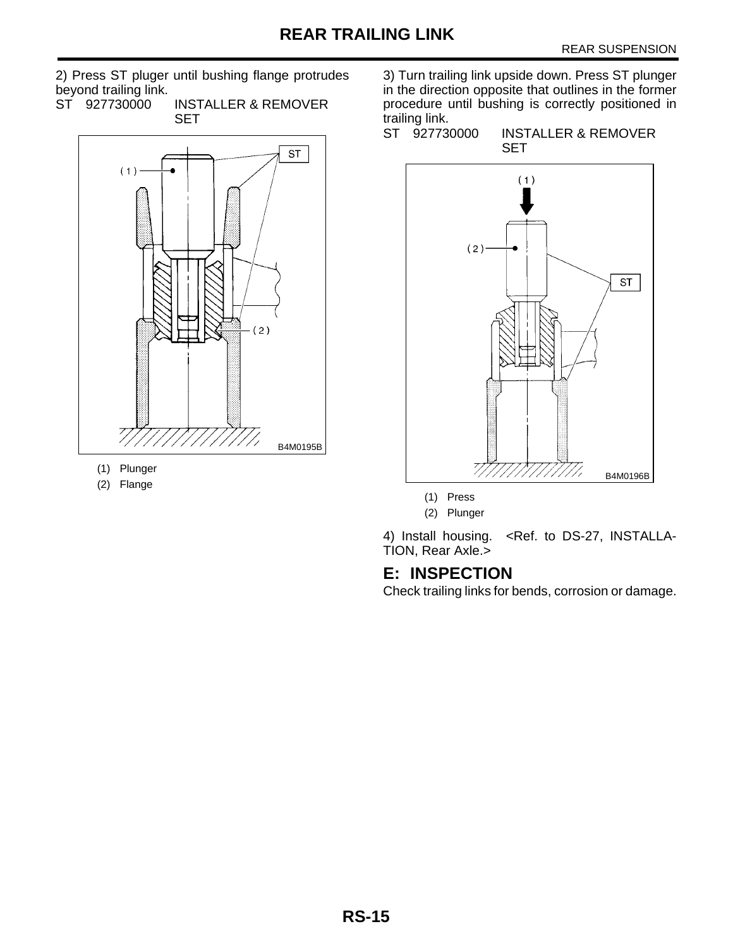2) Press ST pluger until bushing flange protrudes beyond trailing link.

ST 927730000 INSTALLER & REMOVER SET



- (1) Plunger
- (2) Flange

3) Turn trailing link upside down. Press ST plunger in the direction opposite that outlines in the former procedure until bushing is correctly positioned in trailing link.<br>ST 927730000

**INSTALLER & REMOVER** SET



(2) Plunger

4) Install housing. <Ref. to DS-27, INSTALLA-TION, Rear Axle.>

# **E: INSPECTION**

Check trailing links for bends, corrosion or damage.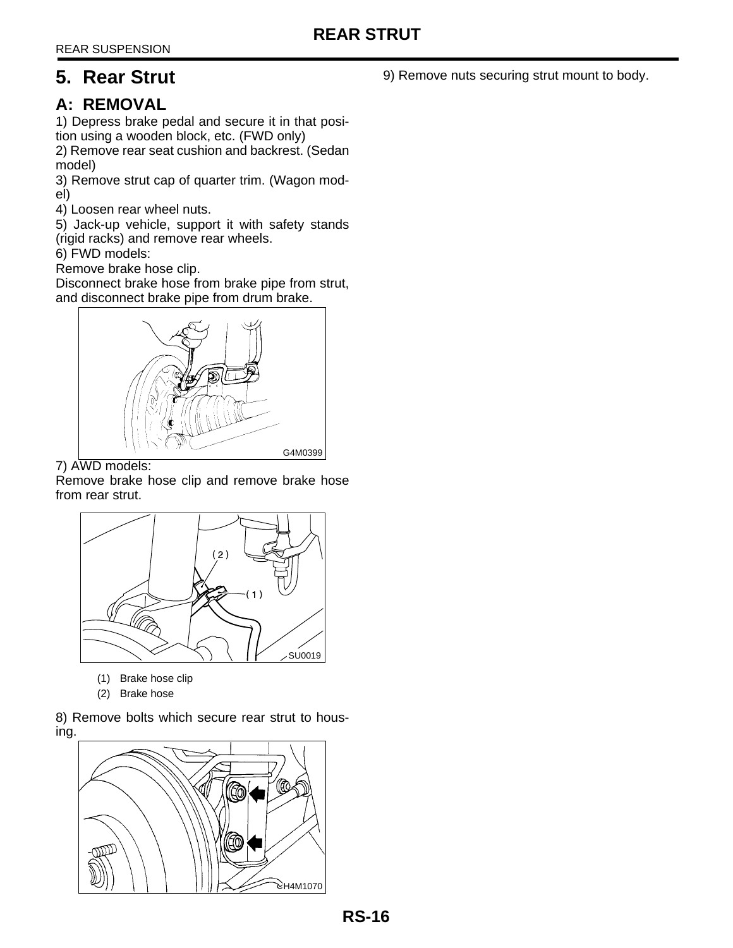# <span id="page-16-0"></span>**5. Rear Strut**

# **A: REMOVAL**

1) Depress brake pedal and secure it in that position using a wooden block, etc. (FWD only)

2) Remove rear seat cushion and backrest. (Sedan model)

3) Remove strut cap of quarter trim. (Wagon model)

4) Loosen rear wheel nuts.

5) Jack-up vehicle, support it with safety stands (rigid racks) and remove rear wheels.

6) FWD models:

Remove brake hose clip.

Disconnect brake hose from brake pipe from strut, and disconnect brake pipe from drum brake.



7) AWD models:

Remove brake hose clip and remove brake hose from rear strut.



- (1) Brake hose clip
- (2) Brake hose

8) Remove bolts which secure rear strut to housing.



9) Remove nuts securing strut mount to body.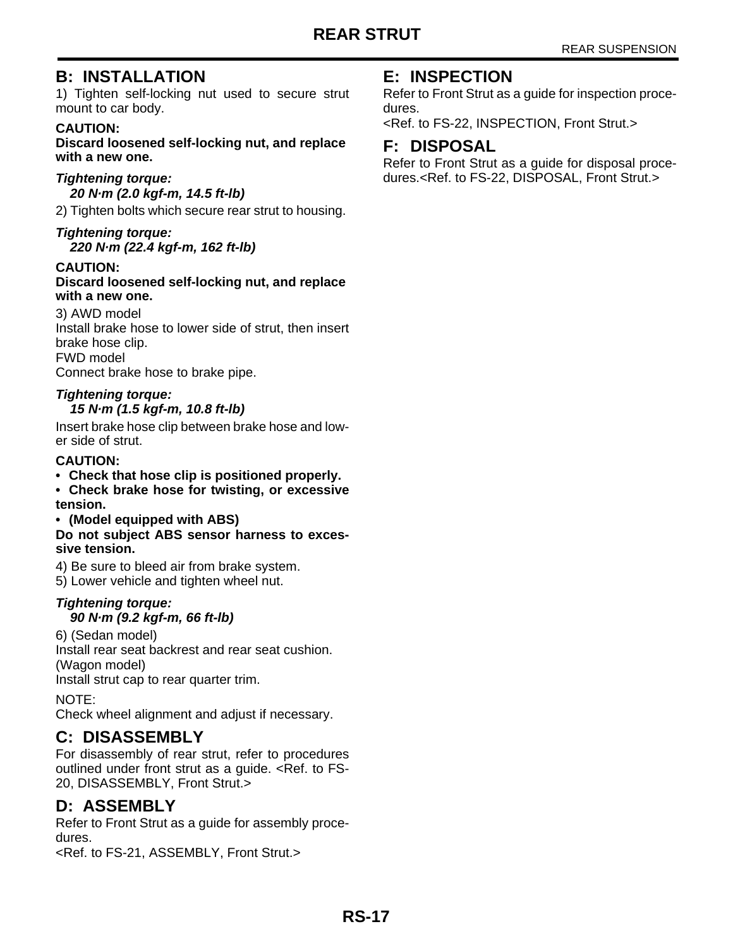# **B: INSTALLATION**

1) Tighten self-locking nut used to secure strut mount to car body.

### **CAUTION:**

**Discard loosened self-locking nut, and replace with a new one.**

### **Tightening torque:**

**20 N·m (2.0 kgf-m, 14.5 ft-lb)** 

2) Tighten bolts which secure rear strut to housing.

### **Tightening torque:**

**220 N·m (22.4 kgf-m, 162 ft-lb)** 

### **CAUTION:**

### **Discard loosened self-locking nut, and replace with a new one.**

3) AWD model Install brake hose to lower side of strut, then insert brake hose clip. FWD model Connect brake hose to brake pipe.

# **Tightening torque:**

### **15 N·m (1.5 kgf-m, 10.8 ft-lb)**

Insert brake hose clip between brake hose and lower side of strut.

### **CAUTION:**

**• Check that hose clip is positioned properly.**

**• Check brake hose for twisting, or excessive tension.**

### **• (Model equipped with ABS)**

**Do not subject ABS sensor harness to excessive tension.**

4) Be sure to bleed air from brake system.

5) Lower vehicle and tighten wheel nut.

# **Tightening torque:**

### **90 N·m (9.2 kgf-m, 66 ft-lb)**

6) (Sedan model) Install rear seat backrest and rear seat cushion. (Wagon model) Install strut cap to rear quarter trim.

NOTE:

Check wheel alignment and adjust if necessary.

# **C: DISASSEMBLY**

For disassembly of rear strut, refer to procedures outlined under front strut as a guide. <Ref. to FS-20, DISASSEMBLY, Front Strut.>

# **D: ASSEMBLY**

Refer to Front Strut as a guide for assembly procedures.

<Ref. to FS-21, ASSEMBLY, Front Strut.>

# **E: INSPECTION**

Refer to Front Strut as a guide for inspection procedures.

<Ref. to FS-22, INSPECTION, Front Strut.>

# **F: DISPOSAL**

Refer to Front Strut as a guide for disposal procedures.<Ref. to FS-22, DISPOSAL, Front Strut.>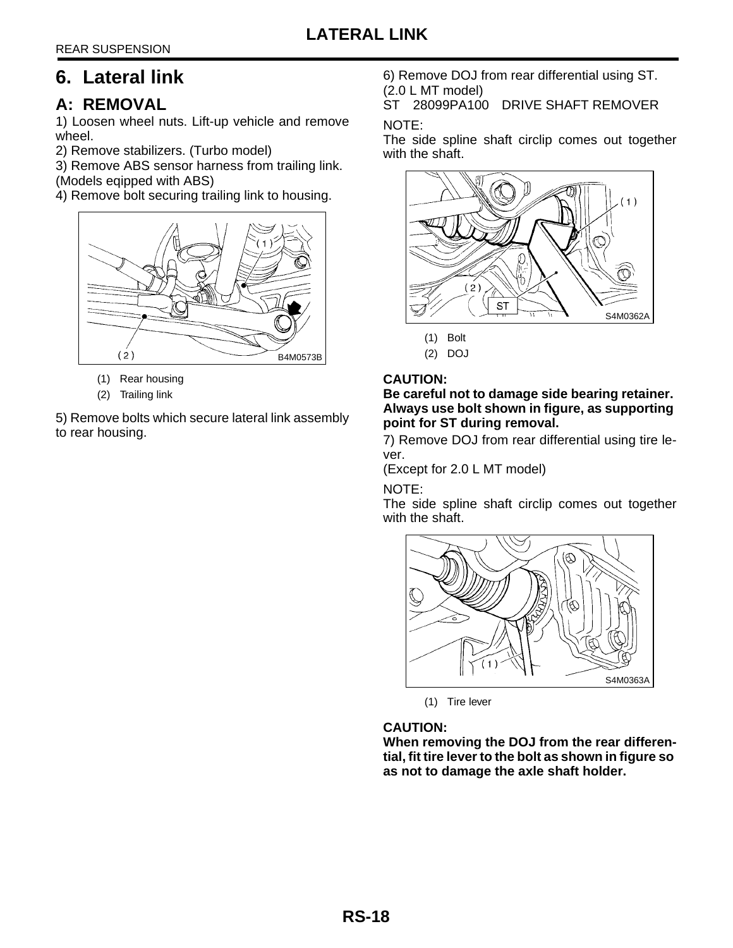# <span id="page-18-0"></span>**6. Lateral link**

# **A: REMOVAL**

1) Loosen wheel nuts. Lift-up vehicle and remove wheel.

2) Remove stabilizers. (Turbo model)

3) Remove ABS sensor harness from trailing link.

(Models eqipped with ABS)

4) Remove bolt securing trailing link to housing.



- (1) Rear housing
- (2) Trailing link

5) Remove bolts which secure lateral link assembly to rear housing.

6) Remove DOJ from rear differential using ST. (2.0 L MT model)

ST 28099PA100 DRIVE SHAFT REMOVER

### NOTE:

The side spline shaft circlip comes out together with the shaft.



- (1) Bolt
- (2) DOJ

### **CAUTION:**

**Be careful not to damage side bearing retainer. Always use bolt shown in figure, as supporting point for ST during removal.**

7) Remove DOJ from rear differential using tire lever.

(Except for 2.0 L MT model)

NOTE:

The side spline shaft circlip comes out together with the shaft.



(1) Tire lever

**CAUTION:**

**When removing the DOJ from the rear differential, fit tire lever to the bolt as shown in figure so as not to damage the axle shaft holder.**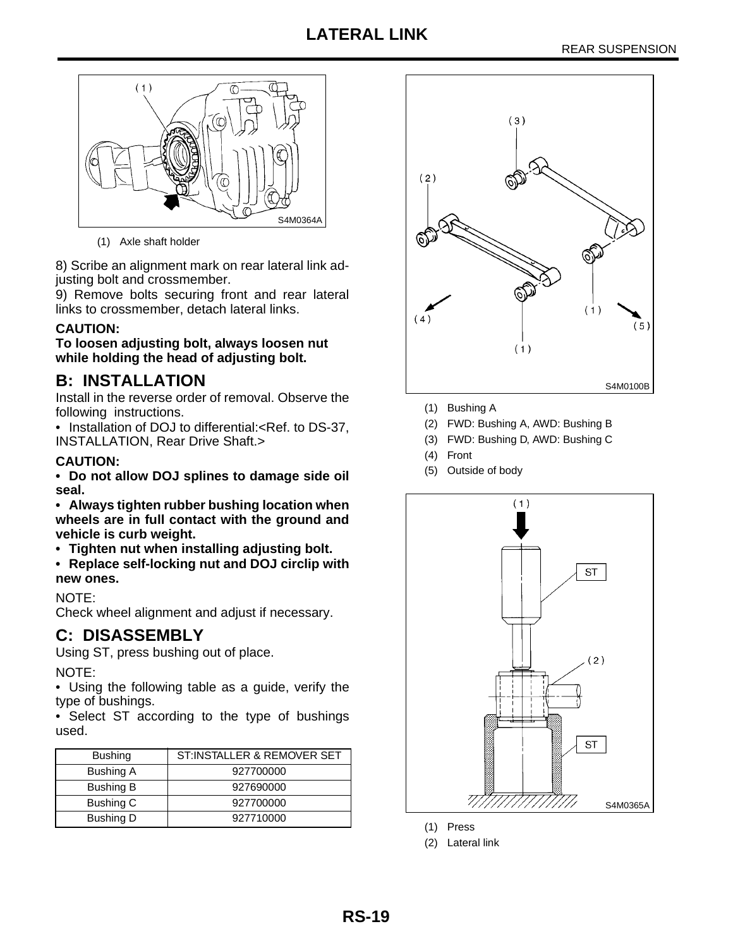# **LATERAL LINK**



(1) Axle shaft holder

8) Scribe an alignment mark on rear lateral link adjusting bolt and crossmember.

9) Remove bolts securing front and rear lateral links to crossmember, detach lateral links.

### **CAUTION:**

**To loosen adjusting bolt, always loosen nut while holding the head of adjusting bolt.**

# **B: INSTALLATION**

Install in the reverse order of removal. Observe the following instructions.

• Installation of DOJ to differential:<Ref. to DS-37, INSTALLATION, Rear Drive Shaft.>

### **CAUTION:**

**• Do not allow DOJ splines to damage side oil seal.**

**• Always tighten rubber bushing location when wheels are in full contact with the ground and vehicle is curb weight.**

**• Tighten nut when installing adjusting bolt.**

**• Replace self-locking nut and DOJ circlip with new ones.**

### NOTE:

Check wheel alignment and adjust if necessary.

# **C: DISASSEMBLY**

Using ST, press bushing out of place.

NOTE:

• Using the following table as a guide, verify the type of bushings.

• Select ST according to the type of bushings used.

| <b>Bushing</b>   | ST:INSTALLER & REMOVER SET |
|------------------|----------------------------|
| Bushing A        | 927700000                  |
| Bushing B        | 927690000                  |
| Bushing C        | 927700000                  |
| <b>Bushing D</b> | 927710000                  |



- (1) Bushing A
- (2) FWD: Bushing A, AWD: Bushing B
- (3) FWD: Bushing D, AWD: Bushing C
- (4) Front
- (5) Outside of body



- (1) Press
- (2) Lateral link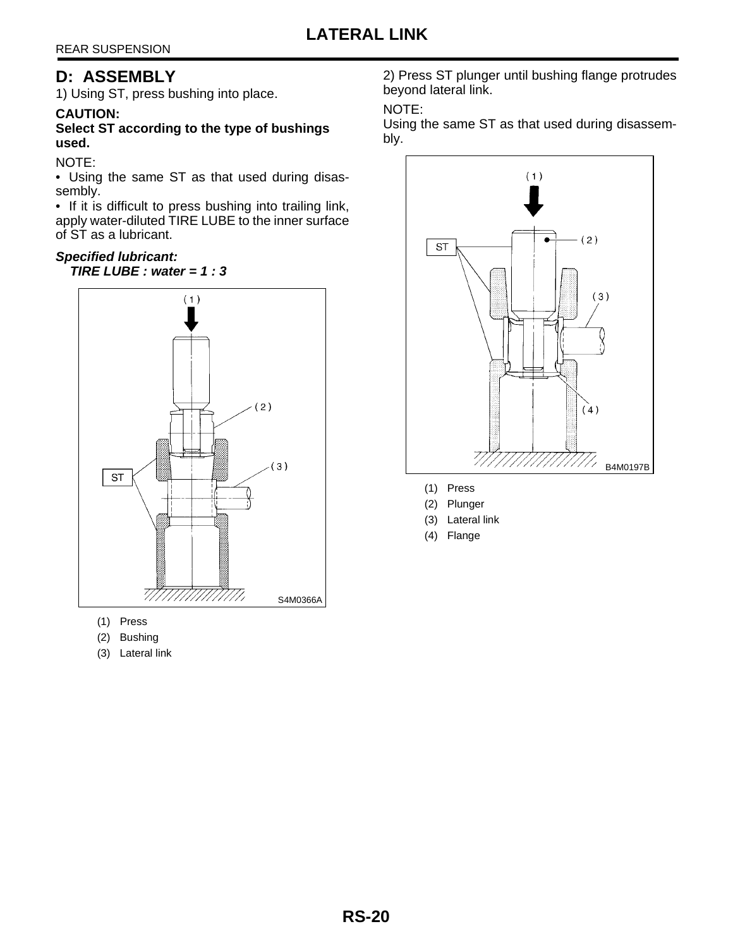# **D: ASSEMBLY**

1) Using ST, press bushing into place.

### **CAUTION:**

**Select ST according to the type of bushings used.**

NOTE:

• Using the same ST as that used during disassembly.

• If it is difficult to press bushing into trailing link, apply water-diluted TIRE LUBE to the inner surface of ST as a lubricant.

### **Specified lubricant:**

**TIRE LUBE : water = 1 : 3**



- (1) Press
- (2) Bushing
- (3) Lateral link

2) Press ST plunger until bushing flange protrudes beyond lateral link.

### NOTE:

Using the same ST as that used during disassembly.



- (1) Press
- (2) Plunger
- (3) Lateral link
- (4) Flange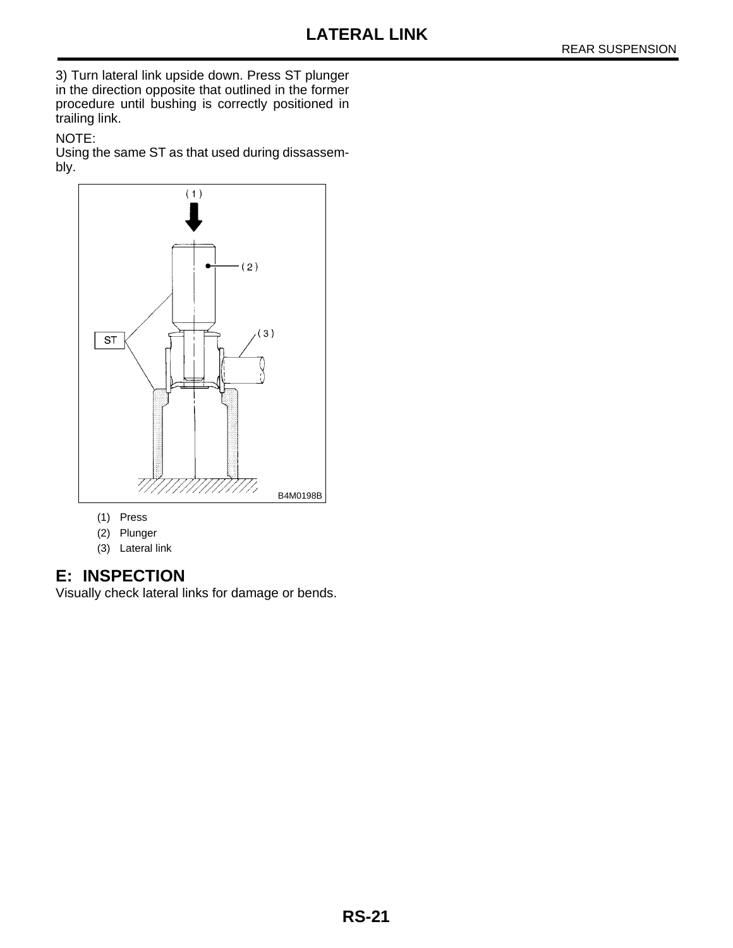3) Turn lateral link upside down. Press ST plunger in the direction opposite that outlined in the former procedure until bushing is correctly positioned in trailing link.

### NOTE:

Using the same ST as that used during dissassembly.



- (1) Press
- (2) Plunger
- (3) Lateral link

# **E: INSPECTION**

Visually check lateral links for damage or bends.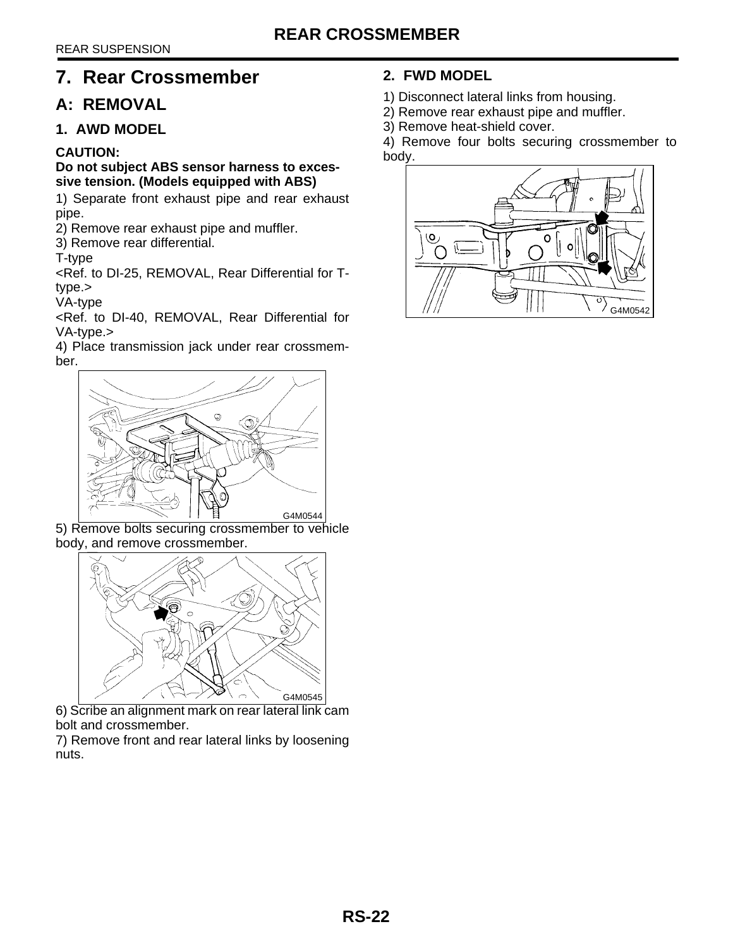# <span id="page-22-0"></span>**7. Rear Crossmember**

# **A: REMOVAL**

### **1. AWD MODEL**

### **CAUTION:**

### **Do not subject ABS sensor harness to excessive tension. (Models equipped with ABS)**

1) Separate front exhaust pipe and rear exhaust pipe.

2) Remove rear exhaust pipe and muffler.

3) Remove rear differential.

T-type

<Ref. to DI-25, REMOVAL, Rear Differential for Ttype.>

VA-type

<Ref. to DI-40, REMOVAL, Rear Differential for VA-type.>

4) Place transmission jack under rear crossmember.



5) Remove bolts securing crossmember to vehicle body, and remove crossmember.



6) Scribe an alignment mark on rear lateral link cam bolt and crossmember.

7) Remove front and rear lateral links by loosening nuts.

# **2. FWD MODEL**

1) Disconnect lateral links from housing.

- 2) Remove rear exhaust pipe and muffler.
- 3) Remove heat-shield cover.

4) Remove four bolts securing crossmember to body.

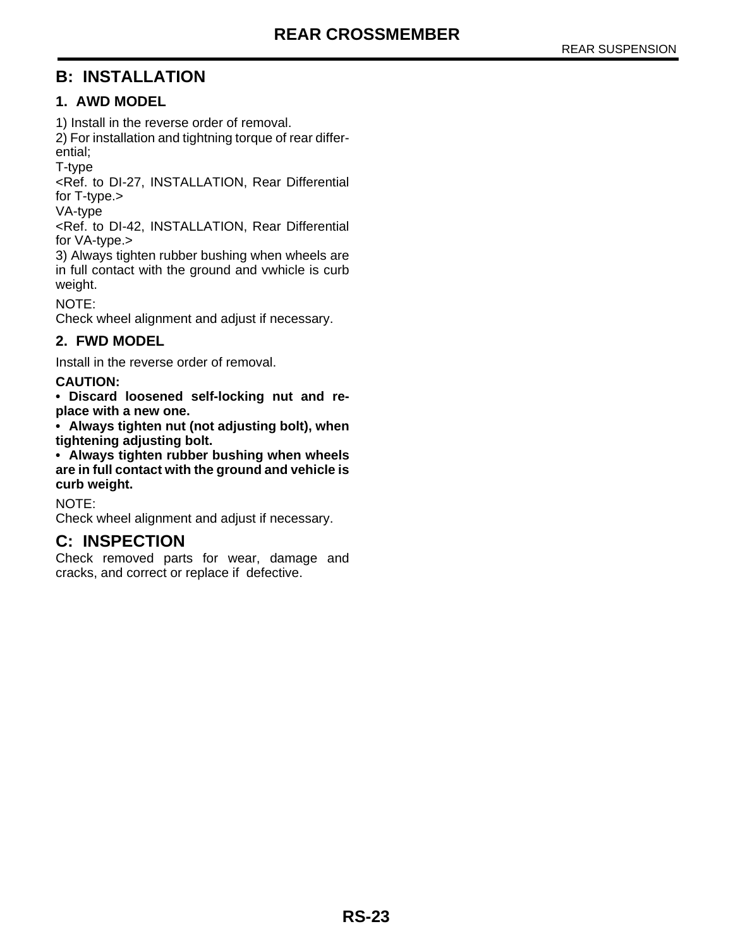# **B: INSTALLATION**

### **1. AWD MODEL**

1) Install in the reverse order of removal.

2) For installation and tightning torque of rear differential;

T-type

<Ref. to DI-27, INSTALLATION, Rear Differential for T-type.>

VA-type

<Ref. to DI-42, INSTALLATION, Rear Differential for VA-type.>

3) Always tighten rubber bushing when wheels are in full contact with the ground and vwhicle is curb weight.

NOTE:

Check wheel alignment and adjust if necessary.

### **2. FWD MODEL**

Install in the reverse order of removal.

### **CAUTION:**

**• Discard loosened self-locking nut and replace with a new one.**

**• Always tighten nut (not adjusting bolt), when tightening adjusting bolt.**

**• Always tighten rubber bushing when wheels are in full contact with the ground and vehicle is curb weight.**

NOTE:

Check wheel alignment and adjust if necessary.

# **C: INSPECTION**

Check removed parts for wear, damage and cracks, and correct or replace if defective.